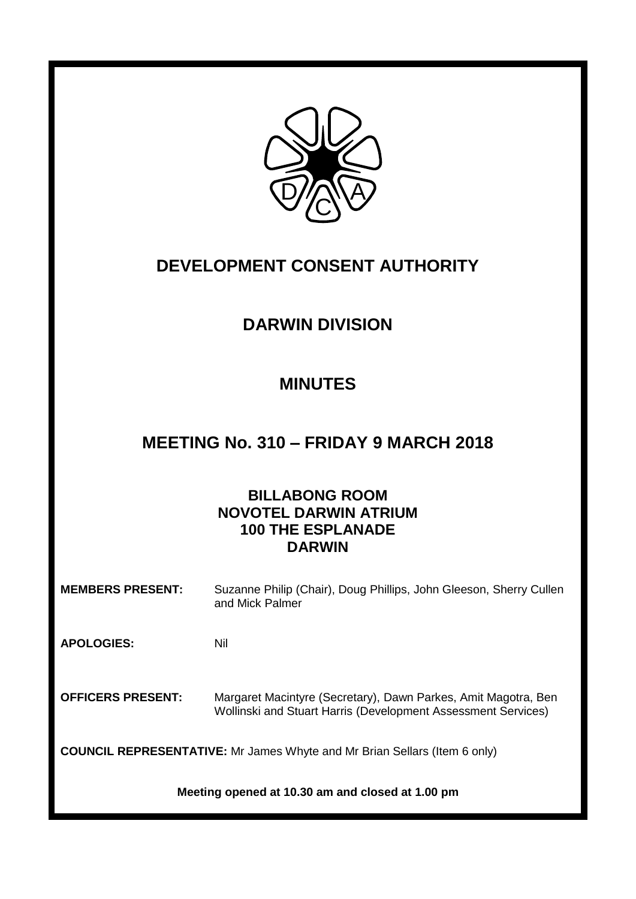

# **DEVELOPMENT CONSENT AUTHORITY**

# **DARWIN DIVISION**

## **MINUTES**

## **MEETING No. 310 – FRIDAY 9 MARCH 2018**

## **BILLABONG ROOM NOVOTEL DARWIN ATRIUM 100 THE ESPLANADE DARWIN**

**MEMBERS PRESENT:** Suzanne Philip (Chair), Doug Phillips, John Gleeson, Sherry Cullen and Mick Palmer

**APOLOGIES:** Nil

**OFFICERS PRESENT:** Margaret Macintyre (Secretary), Dawn Parkes, Amit Magotra, Ben Wollinski and Stuart Harris (Development Assessment Services)

**COUNCIL REPRESENTATIVE:** Mr James Whyte and Mr Brian Sellars (Item 6 only)

**Meeting opened at 10.30 am and closed at 1.00 pm**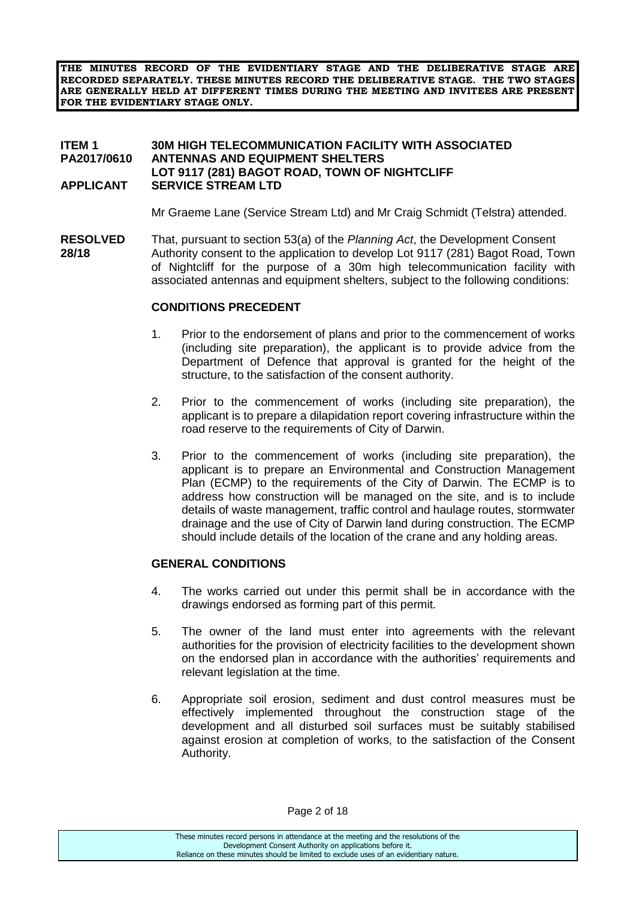**THE MINUTES RECORD OF THE EVIDENTIARY STAGE AND THE DELIBERATIVE STAGE ARE RECORDED SEPARATELY. THESE MINUTES RECORD THE DELIBERATIVE STAGE. THE TWO STAGES ARE GENERALLY HELD AT DIFFERENT TIMES DURING THE MEETING AND INVITEES ARE PRESENT FOR THE EVIDENTIARY STAGE ONLY.**

#### **ITEM 1 30M HIGH TELECOMMUNICATION FACILITY WITH ASSOCIATED ANTENNAS AND EQUIPMENT SHELTERS LOT 9117 (281) BAGOT ROAD, TOWN OF NIGHTCLIFF APPLICANT SERVICE STREAM LTD**

Mr Graeme Lane (Service Stream Ltd) and Mr Craig Schmidt (Telstra) attended.

**RESOLVED** That, pursuant to section 53(a) of the *Planning Act*, the Development Consent **28/18** Authority consent to the application to develop Lot 9117 (281) Bagot Road, Town of Nightcliff for the purpose of a 30m high telecommunication facility with associated antennas and equipment shelters, subject to the following conditions:

#### **CONDITIONS PRECEDENT**

- 1. Prior to the endorsement of plans and prior to the commencement of works (including site preparation), the applicant is to provide advice from the Department of Defence that approval is granted for the height of the structure, to the satisfaction of the consent authority.
- 2. Prior to the commencement of works (including site preparation), the applicant is to prepare a dilapidation report covering infrastructure within the road reserve to the requirements of City of Darwin.
- 3. Prior to the commencement of works (including site preparation), the applicant is to prepare an Environmental and Construction Management Plan (ECMP) to the requirements of the City of Darwin. The ECMP is to address how construction will be managed on the site, and is to include details of waste management, traffic control and haulage routes, stormwater drainage and the use of City of Darwin land during construction. The ECMP should include details of the location of the crane and any holding areas.

#### **GENERAL CONDITIONS**

- 4. The works carried out under this permit shall be in accordance with the drawings endorsed as forming part of this permit.
- 5. The owner of the land must enter into agreements with the relevant authorities for the provision of electricity facilities to the development shown on the endorsed plan in accordance with the authorities' requirements and relevant legislation at the time.
- 6. Appropriate soil erosion, sediment and dust control measures must be effectively implemented throughout the construction stage of the development and all disturbed soil surfaces must be suitably stabilised against erosion at completion of works, to the satisfaction of the Consent Authority.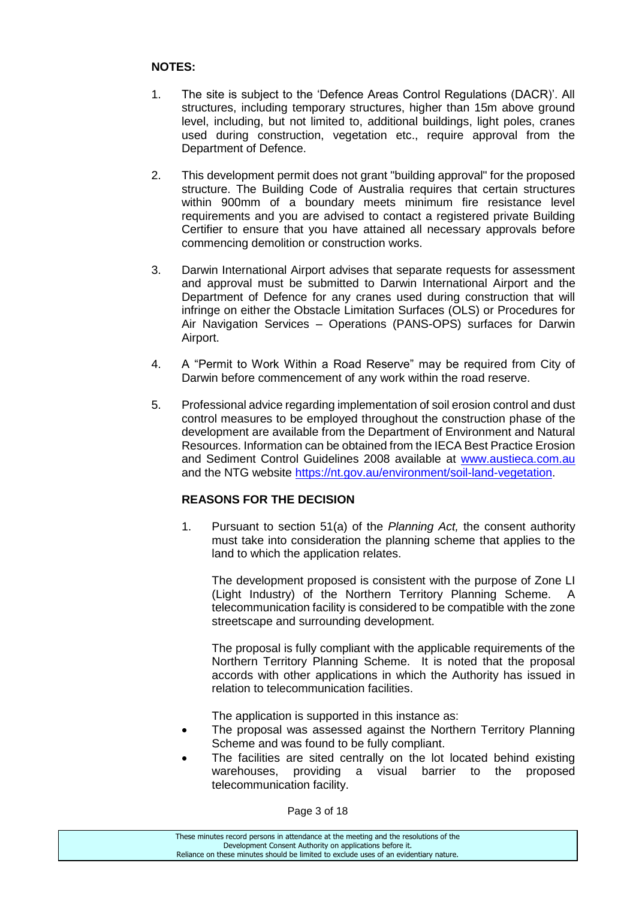### **NOTES:**

- 1. The site is subject to the 'Defence Areas Control Regulations (DACR)'. All structures, including temporary structures, higher than 15m above ground level, including, but not limited to, additional buildings, light poles, cranes used during construction, vegetation etc., require approval from the Department of Defence.
- 2. This development permit does not grant "building approval" for the proposed structure. The Building Code of Australia requires that certain structures within 900mm of a boundary meets minimum fire resistance level requirements and you are advised to contact a registered private Building Certifier to ensure that you have attained all necessary approvals before commencing demolition or construction works.
- 3. Darwin International Airport advises that separate requests for assessment and approval must be submitted to Darwin International Airport and the Department of Defence for any cranes used during construction that will infringe on either the Obstacle Limitation Surfaces (OLS) or Procedures for Air Navigation Services – Operations (PANS-OPS) surfaces for Darwin Airport.
- 4. A "Permit to Work Within a Road Reserve" may be required from City of Darwin before commencement of any work within the road reserve.
- 5. Professional advice regarding implementation of soil erosion control and dust control measures to be employed throughout the construction phase of the development are available from the Department of Environment and Natural Resources. Information can be obtained from the IECA Best Practice Erosion and Sediment Control Guidelines 2008 available at [www.austieca.com.au](http://www.austieca.com.au/) and the NTG website [https://nt.gov.au/environment/soil-land-vegetation.](https://nt.gov.au/environment/soil-land-vegetation)

## **REASONS FOR THE DECISION**

1. Pursuant to section 51(a) of the *Planning Act,* the consent authority must take into consideration the planning scheme that applies to the land to which the application relates.

The development proposed is consistent with the purpose of Zone LI (Light Industry) of the Northern Territory Planning Scheme. A telecommunication facility is considered to be compatible with the zone streetscape and surrounding development.

The proposal is fully compliant with the applicable requirements of the Northern Territory Planning Scheme. It is noted that the proposal accords with other applications in which the Authority has issued in relation to telecommunication facilities.

The application is supported in this instance as:

- The proposal was assessed against the Northern Territory Planning Scheme and was found to be fully compliant.
- The facilities are sited centrally on the lot located behind existing warehouses, providing a visual barrier to the proposed telecommunication facility.

Page 3 of 18

| These minutes record persons in attendance at the meeting and the resolutions of the  |
|---------------------------------------------------------------------------------------|
| Development Consent Authority on applications before it.                              |
| Reliance on these minutes should be limited to exclude uses of an evidentiary nature. |
|                                                                                       |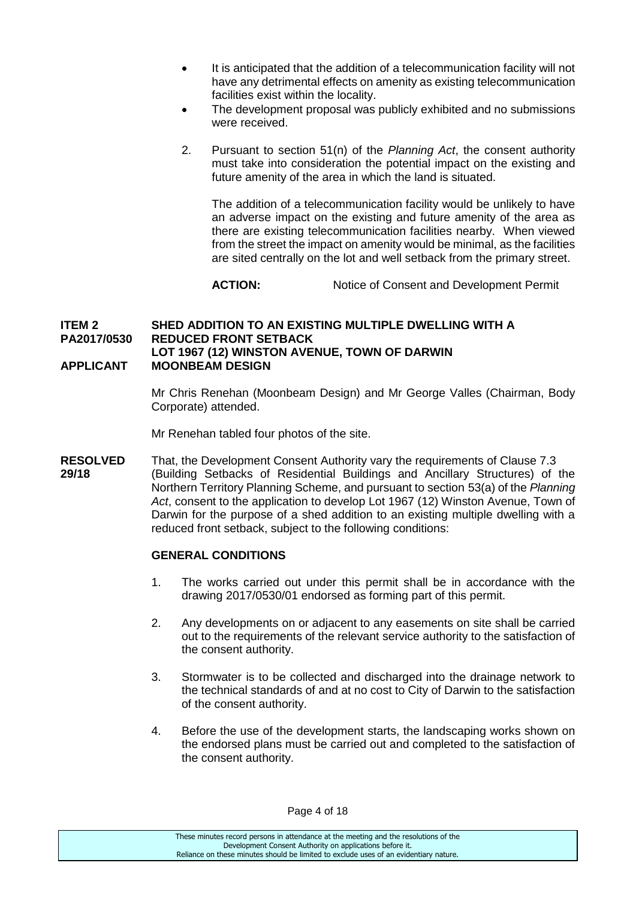- It is anticipated that the addition of a telecommunication facility will not have any detrimental effects on amenity as existing telecommunication facilities exist within the locality.
- The development proposal was publicly exhibited and no submissions were received.
- 2. Pursuant to section 51(n) of the *Planning Act*, the consent authority must take into consideration the potential impact on the existing and future amenity of the area in which the land is situated.

The addition of a telecommunication facility would be unlikely to have an adverse impact on the existing and future amenity of the area as there are existing telecommunication facilities nearby. When viewed from the street the impact on amenity would be minimal, as the facilities are sited centrally on the lot and well setback from the primary street.

**ACTION:** Notice of Consent and Development Permit

#### **ITEM 2 SHED ADDITION TO AN EXISTING MULTIPLE DWELLING WITH A PA2017/0530 REDUCED FRONT SETBACK LOT 1967 (12) WINSTON AVENUE, TOWN OF DARWIN APPLICANT MOONBEAM DESIGN**

Mr Chris Renehan (Moonbeam Design) and Mr George Valles (Chairman, Body Corporate) attended.

Mr Renehan tabled four photos of the site.

**RESOLVED** That, the Development Consent Authority vary the requirements of Clause 7.3 **29/18** (Building Setbacks of Residential Buildings and Ancillary Structures) of the Northern Territory Planning Scheme, and pursuant to section 53(a) of the *Planning Act*, consent to the application to develop Lot 1967 (12) Winston Avenue, Town of Darwin for the purpose of a shed addition to an existing multiple dwelling with a reduced front setback, subject to the following conditions:

#### **GENERAL CONDITIONS**

- 1. The works carried out under this permit shall be in accordance with the drawing 2017/0530/01 endorsed as forming part of this permit.
- 2. Any developments on or adjacent to any easements on site shall be carried out to the requirements of the relevant service authority to the satisfaction of the consent authority.
- 3. Stormwater is to be collected and discharged into the drainage network to the technical standards of and at no cost to City of Darwin to the satisfaction of the consent authority.
- 4. Before the use of the development starts, the landscaping works shown on the endorsed plans must be carried out and completed to the satisfaction of the consent authority.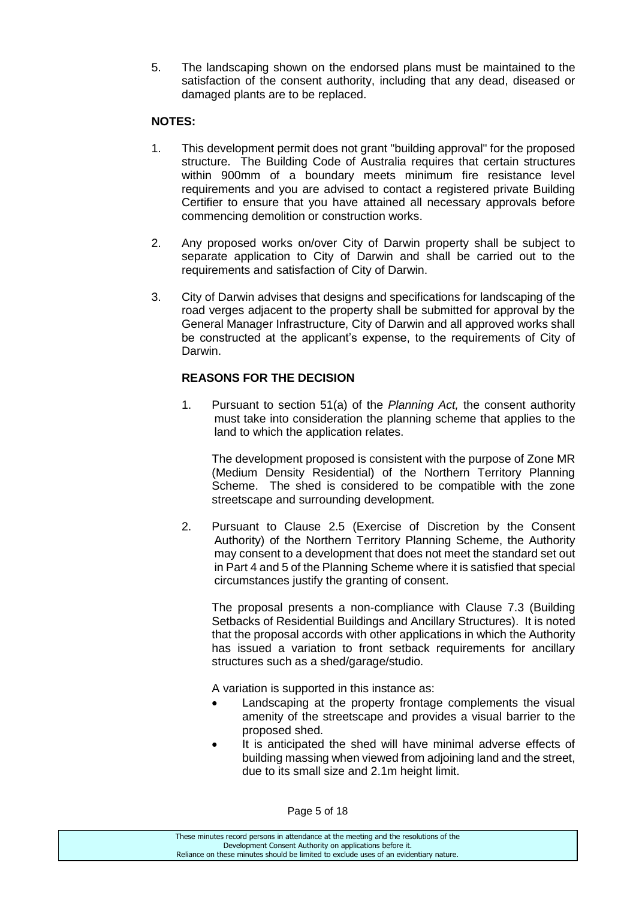5. The landscaping shown on the endorsed plans must be maintained to the satisfaction of the consent authority, including that any dead, diseased or damaged plants are to be replaced.

### **NOTES:**

- 1. This development permit does not grant "building approval" for the proposed structure. The Building Code of Australia requires that certain structures within 900mm of a boundary meets minimum fire resistance level requirements and you are advised to contact a registered private Building Certifier to ensure that you have attained all necessary approvals before commencing demolition or construction works.
- 2. Any proposed works on/over City of Darwin property shall be subject to separate application to City of Darwin and shall be carried out to the requirements and satisfaction of City of Darwin.
- 3. City of Darwin advises that designs and specifications for landscaping of the road verges adjacent to the property shall be submitted for approval by the General Manager Infrastructure, City of Darwin and all approved works shall be constructed at the applicant's expense, to the requirements of City of Darwin.

## **REASONS FOR THE DECISION**

1. Pursuant to section 51(a) of the *Planning Act,* the consent authority must take into consideration the planning scheme that applies to the land to which the application relates.

The development proposed is consistent with the purpose of Zone MR (Medium Density Residential) of the Northern Territory Planning Scheme. The shed is considered to be compatible with the zone streetscape and surrounding development.

2. Pursuant to Clause 2.5 (Exercise of Discretion by the Consent Authority) of the Northern Territory Planning Scheme, the Authority may consent to a development that does not meet the standard set out in Part 4 and 5 of the Planning Scheme where it is satisfied that special circumstances justify the granting of consent.

The proposal presents a non-compliance with Clause 7.3 (Building Setbacks of Residential Buildings and Ancillary Structures). It is noted that the proposal accords with other applications in which the Authority has issued a variation to front setback requirements for ancillary structures such as a shed/garage/studio.

A variation is supported in this instance as:

- Landscaping at the property frontage complements the visual amenity of the streetscape and provides a visual barrier to the proposed shed.
- It is anticipated the shed will have minimal adverse effects of building massing when viewed from adjoining land and the street, due to its small size and 2.1m height limit.

Page 5 of 18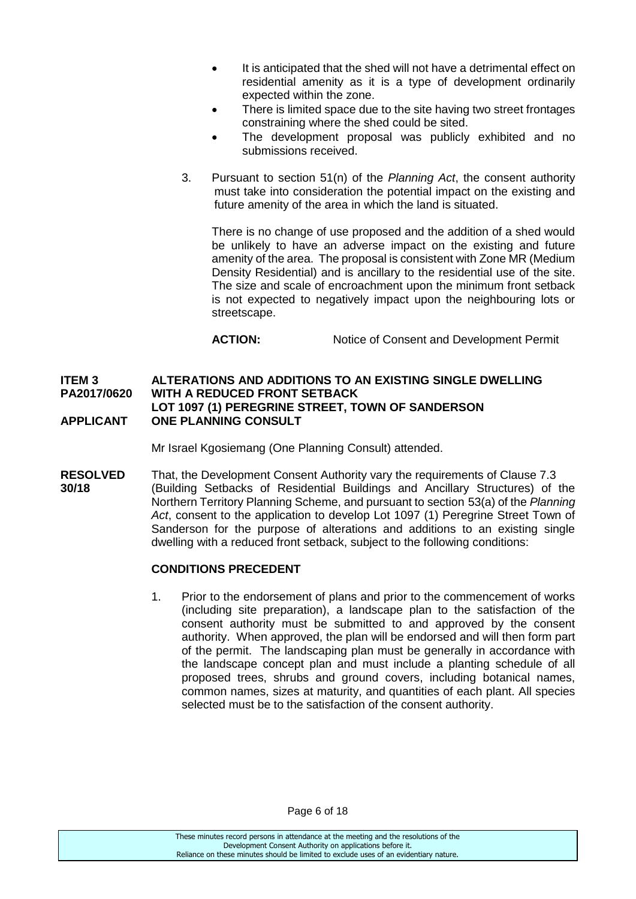- It is anticipated that the shed will not have a detrimental effect on residential amenity as it is a type of development ordinarily expected within the zone.
- There is limited space due to the site having two street frontages constraining where the shed could be sited.
- The development proposal was publicly exhibited and no submissions received.
- 3. Pursuant to section 51(n) of the *Planning Act*, the consent authority must take into consideration the potential impact on the existing and future amenity of the area in which the land is situated.

There is no change of use proposed and the addition of a shed would be unlikely to have an adverse impact on the existing and future amenity of the area. The proposal is consistent with Zone MR (Medium Density Residential) and is ancillary to the residential use of the site. The size and scale of encroachment upon the minimum front setback is not expected to negatively impact upon the neighbouring lots or streetscape.

**ACTION:** Notice of Consent and Development Permit

#### **ITEM 3 ALTERATIONS AND ADDITIONS TO AN EXISTING SINGLE DWELLING PA2017/0620 WITH A REDUCED FRONT SETBACK LOT 1097 (1) PEREGRINE STREET, TOWN OF SANDERSON APPLICANT ONE PLANNING CONSULT**

Mr Israel Kgosiemang (One Planning Consult) attended.

**RESOLVED** That, the Development Consent Authority vary the requirements of Clause 7.3 **30/18** (Building Setbacks of Residential Buildings and Ancillary Structures) of the Northern Territory Planning Scheme, and pursuant to section 53(a) of the *Planning Act*, consent to the application to develop Lot 1097 (1) Peregrine Street Town of Sanderson for the purpose of alterations and additions to an existing single dwelling with a reduced front setback, subject to the following conditions:

#### **CONDITIONS PRECEDENT**

1. Prior to the endorsement of plans and prior to the commencement of works (including site preparation), a landscape plan to the satisfaction of the consent authority must be submitted to and approved by the consent authority. When approved, the plan will be endorsed and will then form part of the permit. The landscaping plan must be generally in accordance with the landscape concept plan and must include a planting schedule of all proposed trees, shrubs and ground covers, including botanical names, common names, sizes at maturity, and quantities of each plant. All species selected must be to the satisfaction of the consent authority.

Page 6 of 18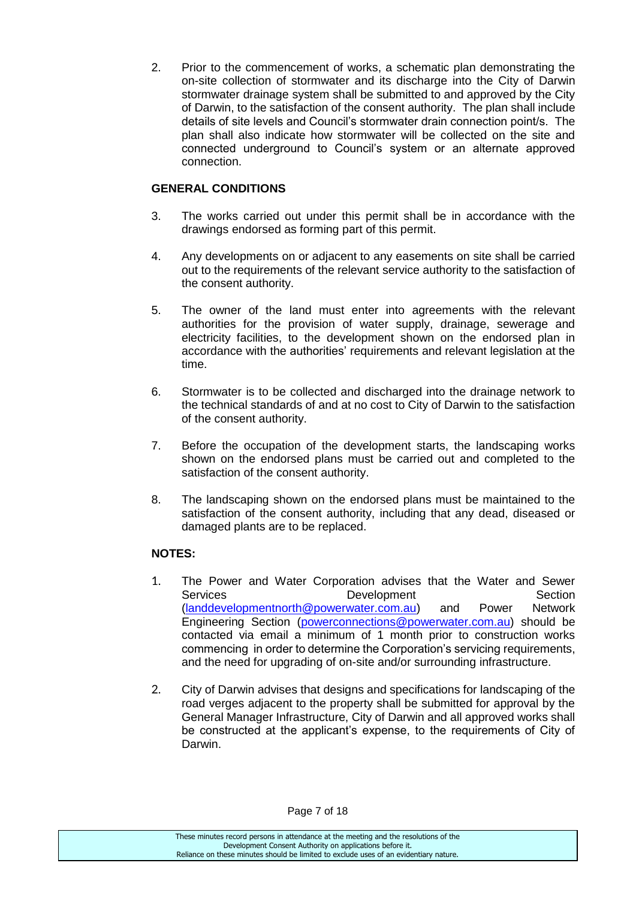2. Prior to the commencement of works, a schematic plan demonstrating the on-site collection of stormwater and its discharge into the City of Darwin stormwater drainage system shall be submitted to and approved by the City of Darwin, to the satisfaction of the consent authority. The plan shall include details of site levels and Council's stormwater drain connection point/s. The plan shall also indicate how stormwater will be collected on the site and connected underground to Council's system or an alternate approved connection.

## **GENERAL CONDITIONS**

- 3. The works carried out under this permit shall be in accordance with the drawings endorsed as forming part of this permit.
- 4. Any developments on or adjacent to any easements on site shall be carried out to the requirements of the relevant service authority to the satisfaction of the consent authority.
- 5. The owner of the land must enter into agreements with the relevant authorities for the provision of water supply, drainage, sewerage and electricity facilities, to the development shown on the endorsed plan in accordance with the authorities' requirements and relevant legislation at the time.
- 6. Stormwater is to be collected and discharged into the drainage network to the technical standards of and at no cost to City of Darwin to the satisfaction of the consent authority.
- 7. Before the occupation of the development starts, the landscaping works shown on the endorsed plans must be carried out and completed to the satisfaction of the consent authority.
- 8. The landscaping shown on the endorsed plans must be maintained to the satisfaction of the consent authority, including that any dead, diseased or damaged plants are to be replaced.

## **NOTES:**

- 1. The Power and Water Corporation advises that the Water and Sewer Services Development Section [\(landdevelopmentnorth@powerwater.com.au\)](mailto:landdevelopmentnorth@powerwater.com.au) and Power Network Engineering Section [\(powerconnections@powerwater.com.au\)](mailto:powerconnections@powerwater.com.au) should be contacted via email a minimum of 1 month prior to construction works commencing in order to determine the Corporation's servicing requirements, and the need for upgrading of on-site and/or surrounding infrastructure.
- 2. City of Darwin advises that designs and specifications for landscaping of the road verges adjacent to the property shall be submitted for approval by the General Manager Infrastructure, City of Darwin and all approved works shall be constructed at the applicant's expense, to the requirements of City of Darwin.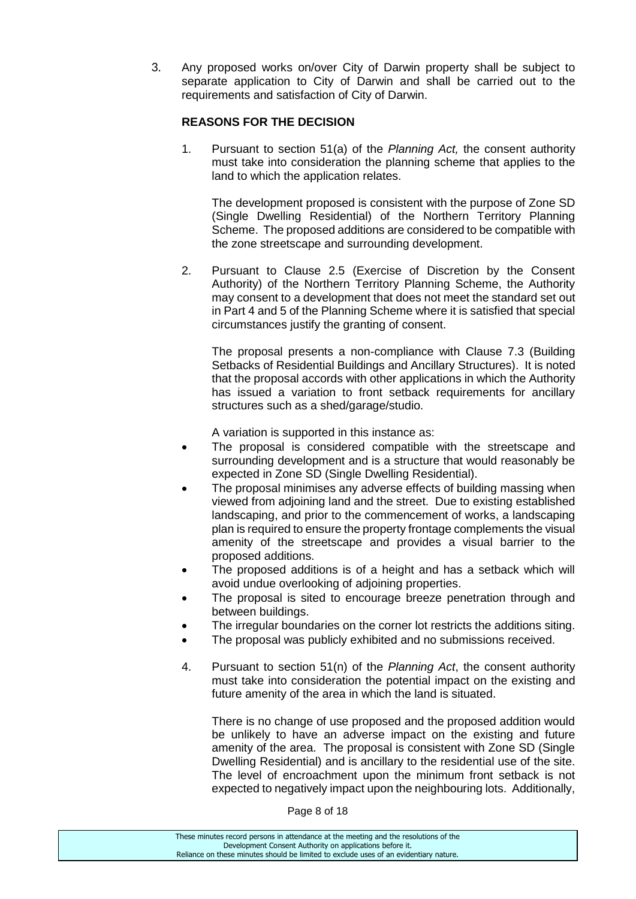3. Any proposed works on/over City of Darwin property shall be subject to separate application to City of Darwin and shall be carried out to the requirements and satisfaction of City of Darwin.

### **REASONS FOR THE DECISION**

1. Pursuant to section 51(a) of the *Planning Act,* the consent authority must take into consideration the planning scheme that applies to the land to which the application relates.

The development proposed is consistent with the purpose of Zone SD (Single Dwelling Residential) of the Northern Territory Planning Scheme. The proposed additions are considered to be compatible with the zone streetscape and surrounding development.

2. Pursuant to Clause 2.5 (Exercise of Discretion by the Consent Authority) of the Northern Territory Planning Scheme, the Authority may consent to a development that does not meet the standard set out in Part 4 and 5 of the Planning Scheme where it is satisfied that special circumstances justify the granting of consent.

The proposal presents a non-compliance with Clause 7.3 (Building Setbacks of Residential Buildings and Ancillary Structures). It is noted that the proposal accords with other applications in which the Authority has issued a variation to front setback requirements for ancillary structures such as a shed/garage/studio.

A variation is supported in this instance as:

- The proposal is considered compatible with the streetscape and surrounding development and is a structure that would reasonably be expected in Zone SD (Single Dwelling Residential).
- The proposal minimises any adverse effects of building massing when viewed from adjoining land and the street. Due to existing established landscaping, and prior to the commencement of works, a landscaping plan is required to ensure the property frontage complements the visual amenity of the streetscape and provides a visual barrier to the proposed additions.
- The proposed additions is of a height and has a setback which will avoid undue overlooking of adjoining properties.
- The proposal is sited to encourage breeze penetration through and between buildings.
- The irregular boundaries on the corner lot restricts the additions siting.
- The proposal was publicly exhibited and no submissions received.
- 4. Pursuant to section 51(n) of the *Planning Act*, the consent authority must take into consideration the potential impact on the existing and future amenity of the area in which the land is situated.

There is no change of use proposed and the proposed addition would be unlikely to have an adverse impact on the existing and future amenity of the area. The proposal is consistent with Zone SD (Single Dwelling Residential) and is ancillary to the residential use of the site. The level of encroachment upon the minimum front setback is not expected to negatively impact upon the neighbouring lots. Additionally,

Page 8 of 18

| These minutes record persons in attendance at the meeting and the resolutions of the  |
|---------------------------------------------------------------------------------------|
| Development Consent Authority on applications before it.                              |
| Reliance on these minutes should be limited to exclude uses of an evidentiary nature. |
|                                                                                       |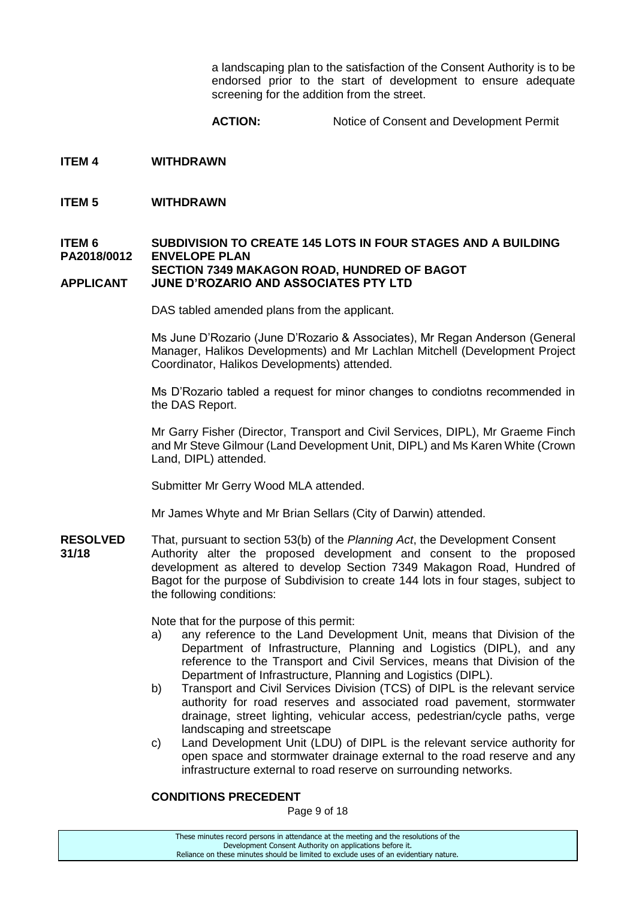a landscaping plan to the satisfaction of the Consent Authority is to be endorsed prior to the start of development to ensure adequate screening for the addition from the street.

**ACTION:** Notice of Consent and Development Permit

- **ITEM 4 WITHDRAWN**
- **ITEM 5 WITHDRAWN**

#### **ITEM 6 SUBDIVISION TO CREATE 145 LOTS IN FOUR STAGES AND A BUILDING PA2018/0012 ENVELOPE PLAN SECTION 7349 MAKAGON ROAD, HUNDRED OF BAGOT APPLICANT JUNE D'ROZARIO AND ASSOCIATES PTY LTD**

DAS tabled amended plans from the applicant.

Ms June D'Rozario (June D'Rozario & Associates), Mr Regan Anderson (General Manager, Halikos Developments) and Mr Lachlan Mitchell (Development Project Coordinator, Halikos Developments) attended.

Ms D'Rozario tabled a request for minor changes to condiotns recommended in the DAS Report.

Mr Garry Fisher (Director, Transport and Civil Services, DIPL), Mr Graeme Finch and Mr Steve Gilmour (Land Development Unit, DIPL) and Ms Karen White (Crown Land, DIPL) attended.

Submitter Mr Gerry Wood MLA attended.

Mr James Whyte and Mr Brian Sellars (City of Darwin) attended.

**RESOLVED** That, pursuant to section 53(b) of the *Planning Act*, the Development Consent **31/18** Authority alter the proposed development and consent to the proposed development as altered to develop Section 7349 Makagon Road, Hundred of Bagot for the purpose of Subdivision to create 144 lots in four stages, subject to the following conditions:

Note that for the purpose of this permit:

- a) any reference to the Land Development Unit, means that Division of the Department of Infrastructure, Planning and Logistics (DIPL), and any reference to the Transport and Civil Services, means that Division of the Department of Infrastructure, Planning and Logistics (DIPL).
- b) Transport and Civil Services Division (TCS) of DIPL is the relevant service authority for road reserves and associated road pavement, stormwater drainage, street lighting, vehicular access, pedestrian/cycle paths, verge landscaping and streetscape
- c) Land Development Unit (LDU) of DIPL is the relevant service authority for open space and stormwater drainage external to the road reserve and any infrastructure external to road reserve on surrounding networks.

### **CONDITIONS PRECEDENT**

Page 9 of 18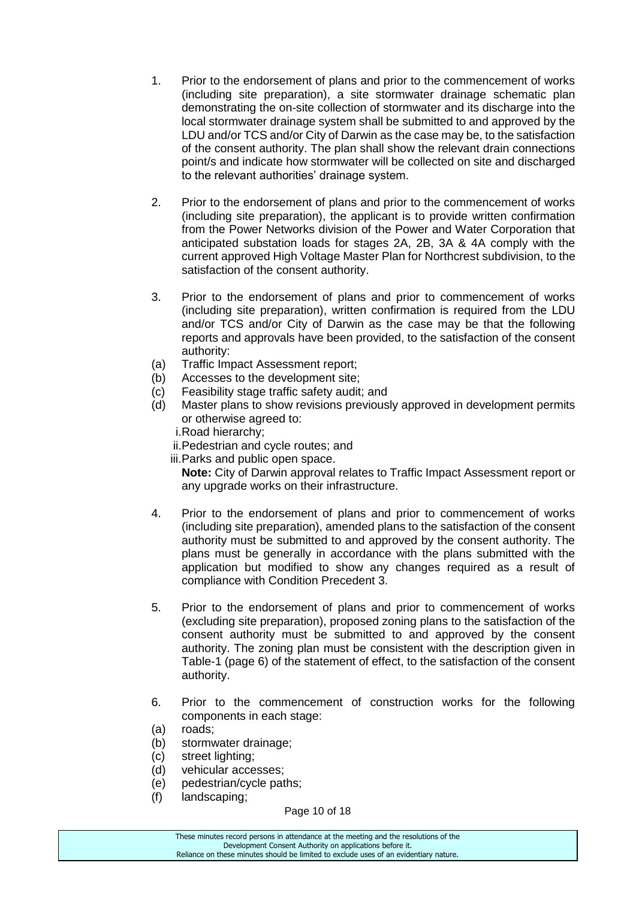- 1. Prior to the endorsement of plans and prior to the commencement of works (including site preparation), a site stormwater drainage schematic plan demonstrating the on-site collection of stormwater and its discharge into the local stormwater drainage system shall be submitted to and approved by the LDU and/or TCS and/or City of Darwin as the case may be, to the satisfaction of the consent authority. The plan shall show the relevant drain connections point/s and indicate how stormwater will be collected on site and discharged to the relevant authorities' drainage system.
- 2. Prior to the endorsement of plans and prior to the commencement of works (including site preparation), the applicant is to provide written confirmation from the Power Networks division of the Power and Water Corporation that anticipated substation loads for stages 2A, 2B, 3A & 4A comply with the current approved High Voltage Master Plan for Northcrest subdivision, to the satisfaction of the consent authority.
- 3. Prior to the endorsement of plans and prior to commencement of works (including site preparation), written confirmation is required from the LDU and/or TCS and/or City of Darwin as the case may be that the following reports and approvals have been provided, to the satisfaction of the consent authority:
- (a) Traffic Impact Assessment report;
- (b) Accesses to the development site;
- (c) Feasibility stage traffic safety audit; and
- (d) Master plans to show revisions previously approved in development permits or otherwise agreed to:
	- i.Road hierarchy;
	- ii.Pedestrian and cycle routes; and
	- iii.Parks and public open space.

**Note:** City of Darwin approval relates to Traffic Impact Assessment report or any upgrade works on their infrastructure.

- 4. Prior to the endorsement of plans and prior to commencement of works (including site preparation), amended plans to the satisfaction of the consent authority must be submitted to and approved by the consent authority. The plans must be generally in accordance with the plans submitted with the application but modified to show any changes required as a result of compliance with Condition Precedent 3.
- 5. Prior to the endorsement of plans and prior to commencement of works (excluding site preparation), proposed zoning plans to the satisfaction of the consent authority must be submitted to and approved by the consent authority. The zoning plan must be consistent with the description given in Table-1 (page 6) of the statement of effect, to the satisfaction of the consent authority.
- 6. Prior to the commencement of construction works for the following components in each stage:
- (a) roads;
- (b) stormwater drainage;
- (c) street lighting;
- (d) vehicular accesses;
- (e) pedestrian/cycle paths;
- (f) landscaping;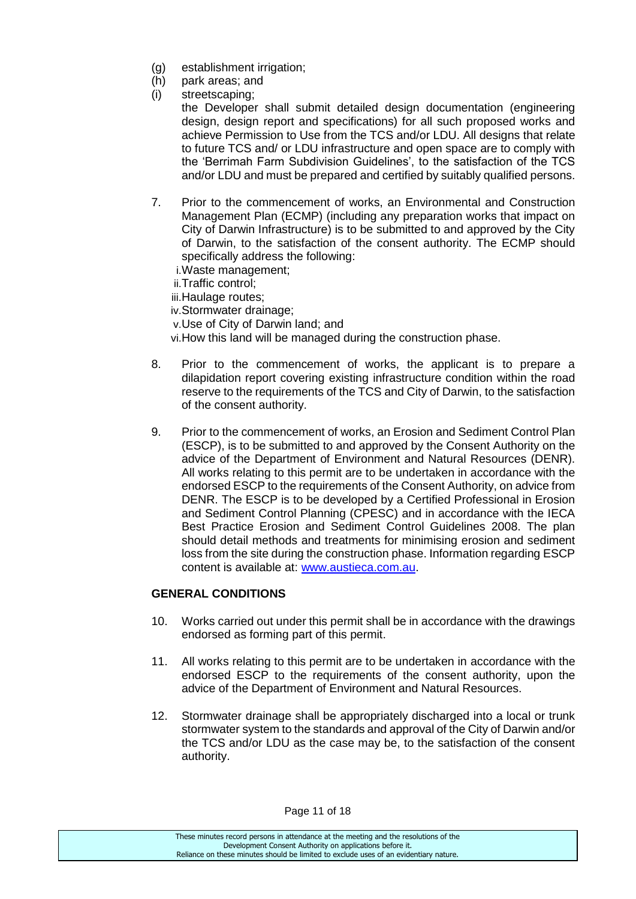- (g) establishment irrigation;
- (h) park areas; and
- (i) streetscaping;

the Developer shall submit detailed design documentation (engineering design, design report and specifications) for all such proposed works and achieve Permission to Use from the TCS and/or LDU. All designs that relate to future TCS and/ or LDU infrastructure and open space are to comply with the 'Berrimah Farm Subdivision Guidelines', to the satisfaction of the TCS and/or LDU and must be prepared and certified by suitably qualified persons.

- 7. Prior to the commencement of works, an Environmental and Construction Management Plan (ECMP) (including any preparation works that impact on City of Darwin Infrastructure) is to be submitted to and approved by the City of Darwin, to the satisfaction of the consent authority. The ECMP should specifically address the following:
	- i.Waste management;
	- ii.Traffic control;
	- iii.Haulage routes;
	- iv.Stormwater drainage;
	- v.Use of City of Darwin land; and
	- vi.How this land will be managed during the construction phase.
- 8. Prior to the commencement of works, the applicant is to prepare a dilapidation report covering existing infrastructure condition within the road reserve to the requirements of the TCS and City of Darwin, to the satisfaction of the consent authority.
- 9. Prior to the commencement of works, an Erosion and Sediment Control Plan (ESCP), is to be submitted to and approved by the Consent Authority on the advice of the Department of Environment and Natural Resources (DENR). All works relating to this permit are to be undertaken in accordance with the endorsed ESCP to the requirements of the Consent Authority, on advice from DENR. The ESCP is to be developed by a Certified Professional in Erosion and Sediment Control Planning (CPESC) and in accordance with the IECA Best Practice Erosion and Sediment Control Guidelines 2008. The plan should detail methods and treatments for minimising erosion and sediment loss from the site during the construction phase. Information regarding ESCP content is available at: [www.austieca.com.au.](http://www.austieca.com.au/)

#### **GENERAL CONDITIONS**

- 10. Works carried out under this permit shall be in accordance with the drawings endorsed as forming part of this permit.
- 11. All works relating to this permit are to be undertaken in accordance with the endorsed ESCP to the requirements of the consent authority, upon the advice of the Department of Environment and Natural Resources.
- 12. Stormwater drainage shall be appropriately discharged into a local or trunk stormwater system to the standards and approval of the City of Darwin and/or the TCS and/or LDU as the case may be, to the satisfaction of the consent authority.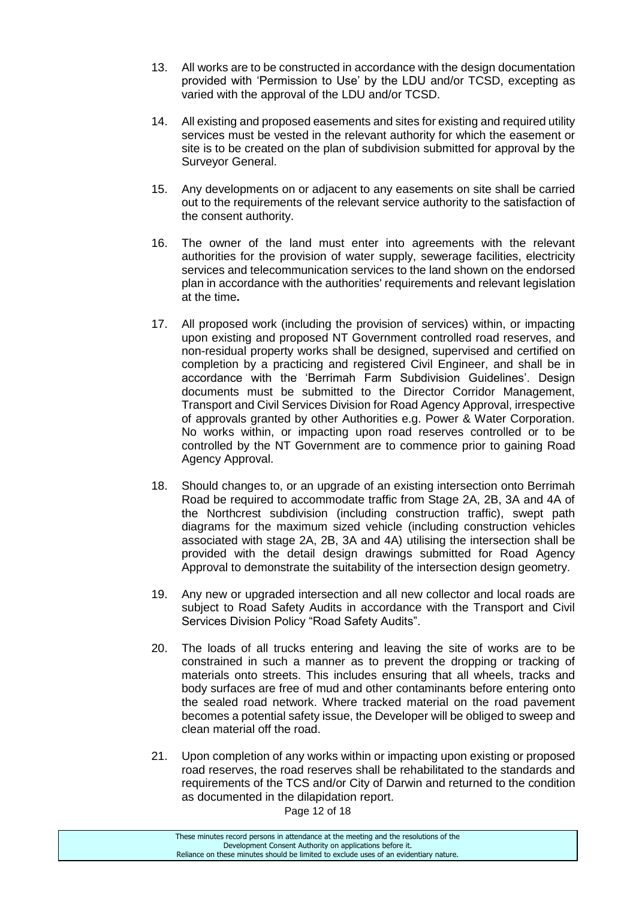- 13. All works are to be constructed in accordance with the design documentation provided with 'Permission to Use' by the LDU and/or TCSD, excepting as varied with the approval of the LDU and/or TCSD.
- 14. All existing and proposed easements and sites for existing and required utility services must be vested in the relevant authority for which the easement or site is to be created on the plan of subdivision submitted for approval by the Surveyor General.
- 15. Any developments on or adjacent to any easements on site shall be carried out to the requirements of the relevant service authority to the satisfaction of the consent authority.
- 16. The owner of the land must enter into agreements with the relevant authorities for the provision of water supply, sewerage facilities, electricity services and telecommunication services to the land shown on the endorsed plan in accordance with the authorities' requirements and relevant legislation at the time**.**
- 17. All proposed work (including the provision of services) within, or impacting upon existing and proposed NT Government controlled road reserves, and non-residual property works shall be designed, supervised and certified on completion by a practicing and registered Civil Engineer, and shall be in accordance with the 'Berrimah Farm Subdivision Guidelines'. Design documents must be submitted to the Director Corridor Management, Transport and Civil Services Division for Road Agency Approval, irrespective of approvals granted by other Authorities e.g. Power & Water Corporation. No works within, or impacting upon road reserves controlled or to be controlled by the NT Government are to commence prior to gaining Road Agency Approval.
- 18. Should changes to, or an upgrade of an existing intersection onto Berrimah Road be required to accommodate traffic from Stage 2A, 2B, 3A and 4A of the Northcrest subdivision (including construction traffic), swept path diagrams for the maximum sized vehicle (including construction vehicles associated with stage 2A, 2B, 3A and 4A) utilising the intersection shall be provided with the detail design drawings submitted for Road Agency Approval to demonstrate the suitability of the intersection design geometry.
- 19. Any new or upgraded intersection and all new collector and local roads are subject to Road Safety Audits in accordance with the Transport and Civil Services Division Policy "Road Safety Audits".
- 20. The loads of all trucks entering and leaving the site of works are to be constrained in such a manner as to prevent the dropping or tracking of materials onto streets. This includes ensuring that all wheels, tracks and body surfaces are free of mud and other contaminants before entering onto the sealed road network. Where tracked material on the road pavement becomes a potential safety issue, the Developer will be obliged to sweep and clean material off the road.
- 21. Upon completion of any works within or impacting upon existing or proposed road reserves, the road reserves shall be rehabilitated to the standards and requirements of the TCS and/or City of Darwin and returned to the condition as documented in the dilapidation report.

Page 12 of 18

These minutes record persons in attendance at the meeting and the resolutions of the Development Consent Authority on applications before it. Reliance on these minutes should be limited to exclude uses of an evidentiary nature.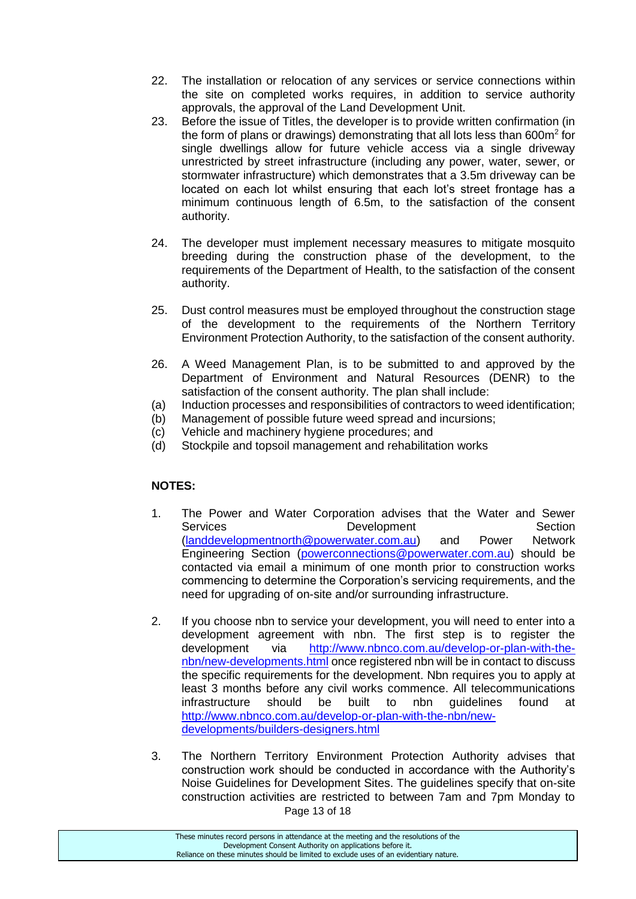- 22. The installation or relocation of any services or service connections within the site on completed works requires, in addition to service authority approvals, the approval of the Land Development Unit.
- 23. Before the issue of Titles, the developer is to provide written confirmation (in the form of plans or drawings) demonstrating that all lots less than 600m<sup>2</sup> for single dwellings allow for future vehicle access via a single driveway unrestricted by street infrastructure (including any power, water, sewer, or stormwater infrastructure) which demonstrates that a 3.5m driveway can be located on each lot whilst ensuring that each lot's street frontage has a minimum continuous length of 6.5m, to the satisfaction of the consent authority.
- 24. The developer must implement necessary measures to mitigate mosquito breeding during the construction phase of the development, to the requirements of the Department of Health, to the satisfaction of the consent authority.
- 25. Dust control measures must be employed throughout the construction stage of the development to the requirements of the Northern Territory Environment Protection Authority, to the satisfaction of the consent authority.
- 26. A Weed Management Plan, is to be submitted to and approved by the Department of Environment and Natural Resources (DENR) to the satisfaction of the consent authority. The plan shall include:
- (a) Induction processes and responsibilities of contractors to weed identification;
- (b) Management of possible future weed spread and incursions;
- (c) Vehicle and machinery hygiene procedures; and
- (d) Stockpile and topsoil management and rehabilitation works

## **NOTES:**

- 1. The Power and Water Corporation advises that the Water and Sewer Services Development Section [\(landdevelopmentnorth@powerwater.com.au\)](mailto:landdevelopmentnorth@powerwater.com.au) and Power Network Engineering Section [\(powerconnections@powerwater.com.au\)](mailto:powerconnections@powerwater.com.au) should be contacted via email a minimum of one month prior to construction works commencing to determine the Corporation's servicing requirements, and the need for upgrading of on-site and/or surrounding infrastructure.
- 2. If you choose nbn to service your development, you will need to enter into a development agreement with nbn. The first step is to register the development via [http://www.nbnco.com.au/develop-or-plan-with-the](http://www.nbnco.com.au/develop-or-plan-with-the-nbn/new-developments.html)[nbn/new-developments.html](http://www.nbnco.com.au/develop-or-plan-with-the-nbn/new-developments.html) once registered nbn will be in contact to discuss the specific requirements for the development. Nbn requires you to apply at least 3 months before any civil works commence. All telecommunications infrastructure should be built to nbn guidelines found at [http://www.nbnco.com.au/develop-or-plan-with-the-nbn/new](http://www.nbnco.com.au/develop-or-plan-with-the-nbn/new-developments/builders-designers.html)[developments/builders-designers.html](http://www.nbnco.com.au/develop-or-plan-with-the-nbn/new-developments/builders-designers.html)
- Page 13 of 18 3. The Northern Territory Environment Protection Authority advises that construction work should be conducted in accordance with the Authority's Noise Guidelines for Development Sites. The guidelines specify that on-site construction activities are restricted to between 7am and 7pm Monday to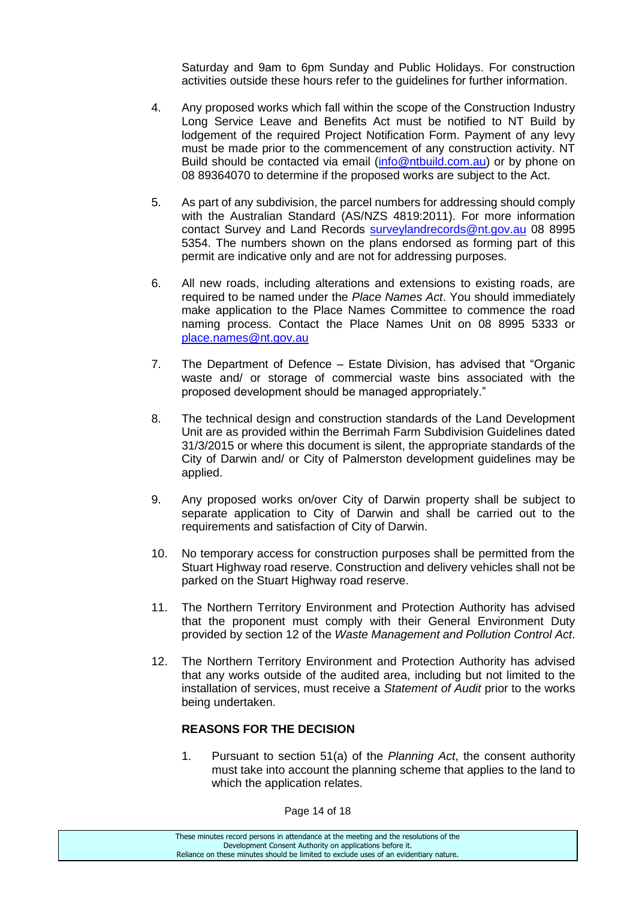Saturday and 9am to 6pm Sunday and Public Holidays. For construction activities outside these hours refer to the guidelines for further information.

- 4. Any proposed works which fall within the scope of the Construction Industry Long Service Leave and Benefits Act must be notified to NT Build by lodgement of the required Project Notification Form. Payment of any levy must be made prior to the commencement of any construction activity. NT Build should be contacted via email [\(info@ntbuild.com.au\)](mailto:info@ntbuild.com.au) or by phone on 08 89364070 to determine if the proposed works are subject to the Act.
- 5. As part of any subdivision, the parcel numbers for addressing should comply with the Australian Standard (AS/NZS 4819:2011). For more information contact Survey and Land Records [surveylandrecords@nt.gov.au](mailto:surveylandrecords@nt.gov.au) 08 8995 5354. The numbers shown on the plans endorsed as forming part of this permit are indicative only and are not for addressing purposes.
- 6. All new roads, including alterations and extensions to existing roads, are required to be named under the *Place Names Act*. You should immediately make application to the Place Names Committee to commence the road naming process. Contact the Place Names Unit on 08 8995 5333 or [place.names@nt.gov.au](mailto:place.names@nt.gov.au)
- 7. The Department of Defence Estate Division, has advised that "Organic waste and/ or storage of commercial waste bins associated with the proposed development should be managed appropriately."
- 8. The technical design and construction standards of the Land Development Unit are as provided within the Berrimah Farm Subdivision Guidelines dated 31/3/2015 or where this document is silent, the appropriate standards of the City of Darwin and/ or City of Palmerston development guidelines may be applied.
- 9. Any proposed works on/over City of Darwin property shall be subject to separate application to City of Darwin and shall be carried out to the requirements and satisfaction of City of Darwin.
- 10. No temporary access for construction purposes shall be permitted from the Stuart Highway road reserve. Construction and delivery vehicles shall not be parked on the Stuart Highway road reserve.
- 11. The Northern Territory Environment and Protection Authority has advised that the proponent must comply with their General Environment Duty provided by section 12 of the *Waste Management and Pollution Control Act*.
- 12. The Northern Territory Environment and Protection Authority has advised that any works outside of the audited area, including but not limited to the installation of services, must receive a *Statement of Audit* prior to the works being undertaken.

#### **REASONS FOR THE DECISION**

1. Pursuant to section 51(a) of the *Planning Act*, the consent authority must take into account the planning scheme that applies to the land to which the application relates.

Page 14 of 18

These minutes record persons in attendance at the meeting and the resolutions of the Development Consent Authority on applications before it. Reliance on these minutes should be limited to exclude uses of an evidentiary nature.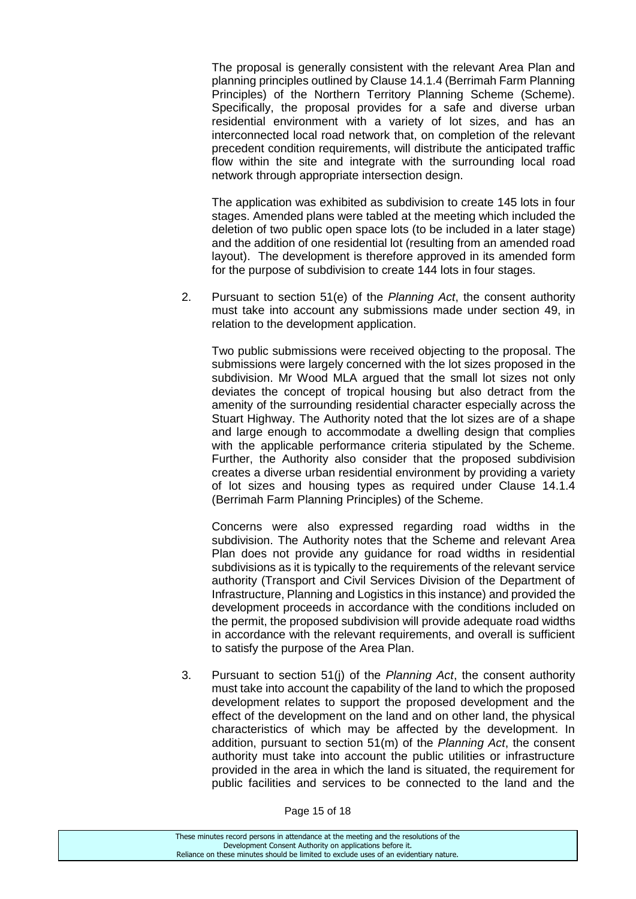The proposal is generally consistent with the relevant Area Plan and planning principles outlined by Clause 14.1.4 (Berrimah Farm Planning Principles) of the Northern Territory Planning Scheme (Scheme). Specifically, the proposal provides for a safe and diverse urban residential environment with a variety of lot sizes, and has an interconnected local road network that, on completion of the relevant precedent condition requirements, will distribute the anticipated traffic flow within the site and integrate with the surrounding local road network through appropriate intersection design.

The application was exhibited as subdivision to create 145 lots in four stages. Amended plans were tabled at the meeting which included the deletion of two public open space lots (to be included in a later stage) and the addition of one residential lot (resulting from an amended road layout). The development is therefore approved in its amended form for the purpose of subdivision to create 144 lots in four stages.

2. Pursuant to section 51(e) of the *Planning Act*, the consent authority must take into account any submissions made under section 49, in relation to the development application.

Two public submissions were received objecting to the proposal. The submissions were largely concerned with the lot sizes proposed in the subdivision. Mr Wood MLA argued that the small lot sizes not only deviates the concept of tropical housing but also detract from the amenity of the surrounding residential character especially across the Stuart Highway. The Authority noted that the lot sizes are of a shape and large enough to accommodate a dwelling design that complies with the applicable performance criteria stipulated by the Scheme. Further, the Authority also consider that the proposed subdivision creates a diverse urban residential environment by providing a variety of lot sizes and housing types as required under Clause 14.1.4 (Berrimah Farm Planning Principles) of the Scheme.

Concerns were also expressed regarding road widths in the subdivision. The Authority notes that the Scheme and relevant Area Plan does not provide any guidance for road widths in residential subdivisions as it is typically to the requirements of the relevant service authority (Transport and Civil Services Division of the Department of Infrastructure, Planning and Logistics in this instance) and provided the development proceeds in accordance with the conditions included on the permit, the proposed subdivision will provide adequate road widths in accordance with the relevant requirements, and overall is sufficient to satisfy the purpose of the Area Plan.

3. Pursuant to section 51(j) of the *Planning Act*, the consent authority must take into account the capability of the land to which the proposed development relates to support the proposed development and the effect of the development on the land and on other land, the physical characteristics of which may be affected by the development. In addition, pursuant to section 51(m) of the *Planning Act*, the consent authority must take into account the public utilities or infrastructure provided in the area in which the land is situated, the requirement for public facilities and services to be connected to the land and the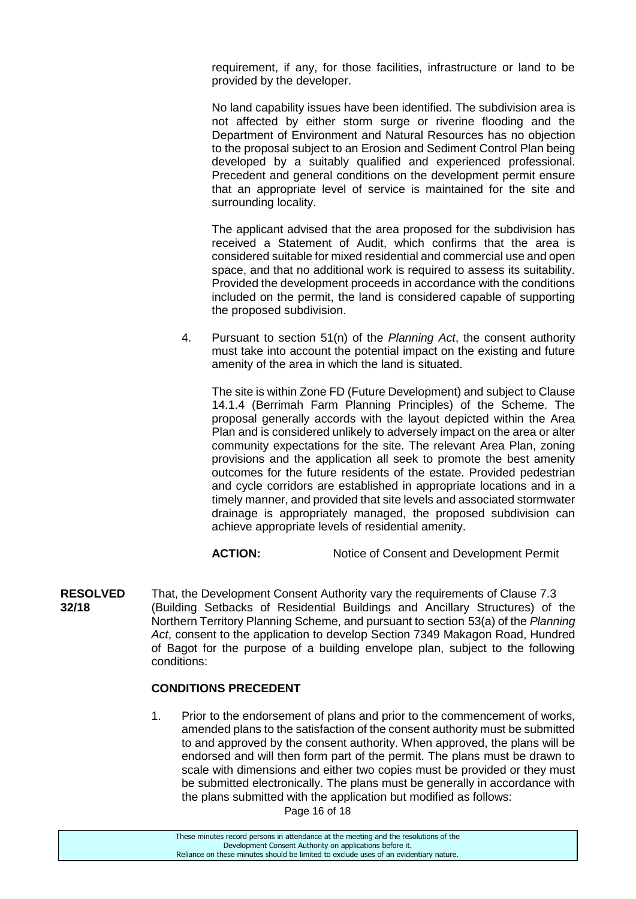requirement, if any, for those facilities, infrastructure or land to be provided by the developer.

No land capability issues have been identified. The subdivision area is not affected by either storm surge or riverine flooding and the Department of Environment and Natural Resources has no objection to the proposal subject to an Erosion and Sediment Control Plan being developed by a suitably qualified and experienced professional. Precedent and general conditions on the development permit ensure that an appropriate level of service is maintained for the site and surrounding locality.

The applicant advised that the area proposed for the subdivision has received a Statement of Audit, which confirms that the area is considered suitable for mixed residential and commercial use and open space, and that no additional work is required to assess its suitability. Provided the development proceeds in accordance with the conditions included on the permit, the land is considered capable of supporting the proposed subdivision.

4. Pursuant to section 51(n) of the *Planning Act*, the consent authority must take into account the potential impact on the existing and future amenity of the area in which the land is situated.

The site is within Zone FD (Future Development) and subject to Clause 14.1.4 (Berrimah Farm Planning Principles) of the Scheme. The proposal generally accords with the layout depicted within the Area Plan and is considered unlikely to adversely impact on the area or alter community expectations for the site. The relevant Area Plan, zoning provisions and the application all seek to promote the best amenity outcomes for the future residents of the estate. Provided pedestrian and cycle corridors are established in appropriate locations and in a timely manner, and provided that site levels and associated stormwater drainage is appropriately managed, the proposed subdivision can achieve appropriate levels of residential amenity.

**ACTION:** Notice of Consent and Development Permit

**RESOLVED** That, the Development Consent Authority vary the requirements of Clause 7.3 **32/18** (Building Setbacks of Residential Buildings and Ancillary Structures) of the Northern Territory Planning Scheme, and pursuant to section 53(a) of the *Planning Act*, consent to the application to develop Section 7349 Makagon Road, Hundred of Bagot for the purpose of a building envelope plan, subject to the following conditions:

#### **CONDITIONS PRECEDENT**

1. Prior to the endorsement of plans and prior to the commencement of works, amended plans to the satisfaction of the consent authority must be submitted to and approved by the consent authority. When approved, the plans will be endorsed and will then form part of the permit. The plans must be drawn to scale with dimensions and either two copies must be provided or they must be submitted electronically. The plans must be generally in accordance with the plans submitted with the application but modified as follows:

Page 16 of 18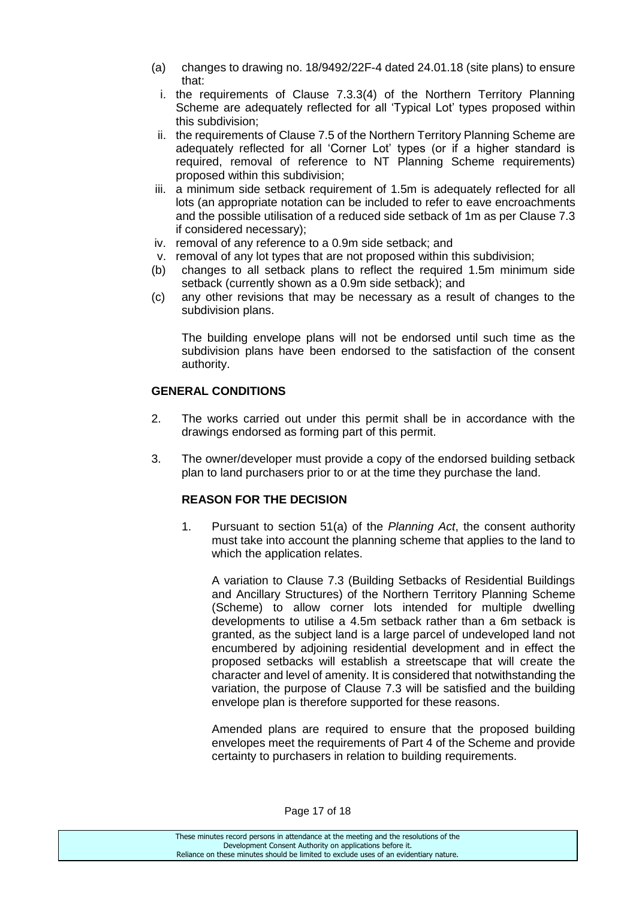- (a) changes to drawing no. 18/9492/22F-4 dated 24.01.18 (site plans) to ensure that:
	- i. the requirements of Clause 7.3.3(4) of the Northern Territory Planning Scheme are adequately reflected for all 'Typical Lot' types proposed within this subdivision;
- ii. the requirements of Clause 7.5 of the Northern Territory Planning Scheme are adequately reflected for all 'Corner Lot' types (or if a higher standard is required, removal of reference to NT Planning Scheme requirements) proposed within this subdivision;
- iii. a minimum side setback requirement of 1.5m is adequately reflected for all lots (an appropriate notation can be included to refer to eave encroachments and the possible utilisation of a reduced side setback of 1m as per Clause 7.3 if considered necessary);
- iv. removal of any reference to a 0.9m side setback; and
- v. removal of any lot types that are not proposed within this subdivision;
- (b) changes to all setback plans to reflect the required 1.5m minimum side setback (currently shown as a 0.9m side setback); and
- (c) any other revisions that may be necessary as a result of changes to the subdivision plans.

The building envelope plans will not be endorsed until such time as the subdivision plans have been endorsed to the satisfaction of the consent authority.

## **GENERAL CONDITIONS**

- 2. The works carried out under this permit shall be in accordance with the drawings endorsed as forming part of this permit.
- 3. The owner/developer must provide a copy of the endorsed building setback plan to land purchasers prior to or at the time they purchase the land.

## **REASON FOR THE DECISION**

1. Pursuant to section 51(a) of the *Planning Act*, the consent authority must take into account the planning scheme that applies to the land to which the application relates.

A variation to Clause 7.3 (Building Setbacks of Residential Buildings and Ancillary Structures) of the Northern Territory Planning Scheme (Scheme) to allow corner lots intended for multiple dwelling developments to utilise a 4.5m setback rather than a 6m setback is granted, as the subject land is a large parcel of undeveloped land not encumbered by adjoining residential development and in effect the proposed setbacks will establish a streetscape that will create the character and level of amenity. It is considered that notwithstanding the variation, the purpose of Clause 7.3 will be satisfied and the building envelope plan is therefore supported for these reasons.

Amended plans are required to ensure that the proposed building envelopes meet the requirements of Part 4 of the Scheme and provide certainty to purchasers in relation to building requirements.